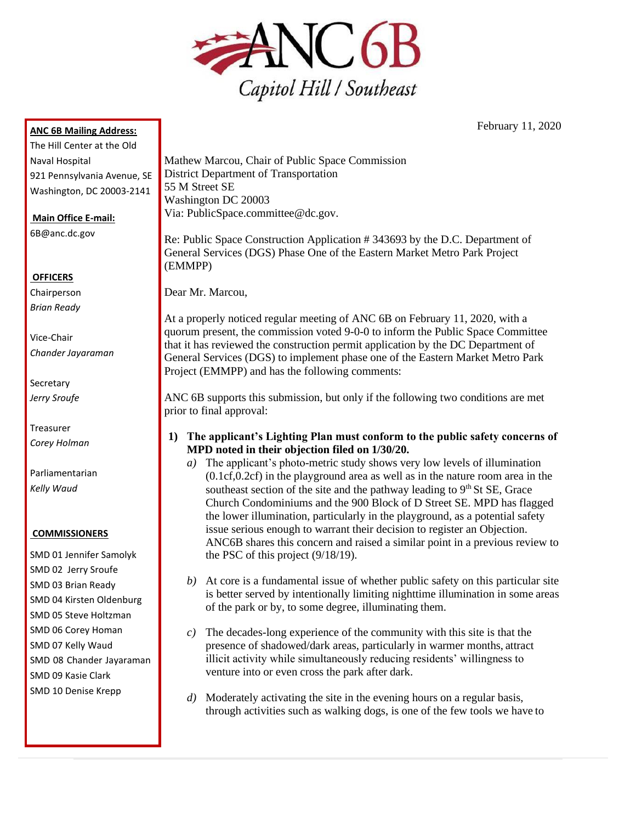

**ANC 6B Mailing Address:**

The Hill Center at the Old Naval Hospital 921 Pennsylvania Avenue, SE Washington, DC 20003-2141

**Main Office E-mail:**

[6B@anc.dc.gov](mailto:6B@anc.dc.gov)

## **OFFICERS**

Chairperson *Brian Ready*

Vice-Chair *Chander Jayaraman*

**Secretary** *Jerry Sroufe*

Treasurer *Corey Holman*

Parliamentarian *Kelly Waud*

#### **COMMISSIONERS**

SMD 01 Jennifer Samolyk SMD 02 Jerry Sroufe SMD 03 Brian Ready SMD 04 Kirsten Oldenburg SMD 05 Steve Holtzman SMD 06 Corey Homan SMD 07 Kelly Waud SMD 08 Chander Jayaraman SMD 09 Kasie Clark SMD 10 Denise Krepp

Mathew Marcou, Chair of Public Space Commission District Department of Transportation 55 M Street SE Washington DC 20003 Via: [PublicSpace.committee@dc.gov.](mailto:PublicSpace.committee@dc.gov)

Re: Public Space Construction Application # 343693 by the D.C. Department of General Services (DGS) Phase One of the Eastern Market Metro Park Project (EMMPP)

Dear Mr. Marcou,

At a properly noticed regular meeting of ANC 6B on February 11, 2020, with a quorum present, the commission voted 9-0-0 to inform the Public Space Committee that it has reviewed the construction permit application by the DC Department of General Services (DGS) to implement phase one of the Eastern Market Metro Park Project (EMMPP) and has the following comments:

ANC 6B supports this submission, but only if the following two conditions are met prior to final approval:

- **1) The applicant's Lighting Plan must conform to the public safety concerns of MPD noted in their objection filed on 1/30/20.**
	- *a)* The applicant's photo-metric study shows very low levels of illumination (0.1cf,0.2cf) in the playground area as well as in the nature room area in the southeast section of the site and the pathway leading to  $9<sup>th</sup>$  St SE, Grace Church Condominiums and the 900 Block of D Street SE. MPD has flagged the lower illumination, particularly in the playground, as a potential safety issue serious enough to warrant their decision to register an Objection. ANC6B shares this concern and raised a similar point in a previous review to the PSC of this project (9/18/19).
	- *b)* At core is a fundamental issue of whether public safety on this particular site is better served by intentionally limiting nighttime illumination in some areas of the park or by, to some degree, illuminating them.
	- *c)* The decades-long experience of the community with this site is that the presence of shadowed/dark areas, particularly in warmer months, attract illicit activity while simultaneously reducing residents' willingness to venture into or even cross the park after dark.
	- *d)* Moderately activating the site in the evening hours on a regular basis, through activities such as walking dogs, is one of the few tools we have to

February 11, 2020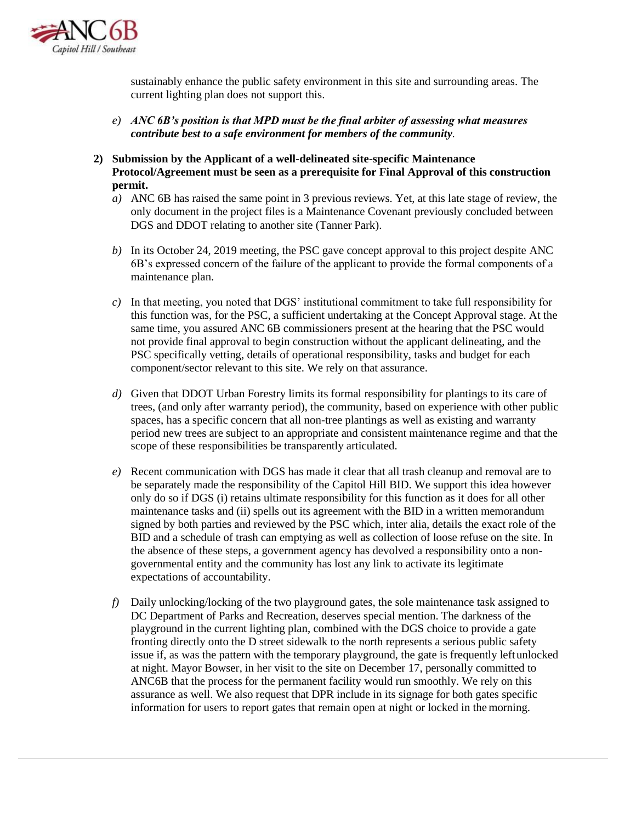

sustainably enhance the public safety environment in this site and surrounding areas. The current lighting plan does not support this.

- *e) ANC 6B's position is that MPD must be the final arbiter of assessing what measures contribute best to a safe environment for members of the community.*
- **2) Submission by the Applicant of a well-delineated site-specific Maintenance Protocol/Agreement must be seen as a prerequisite for Final Approval of this construction permit.**
	- *a)* ANC 6B has raised the same point in 3 previous reviews. Yet, at this late stage of review, the only document in the project files is a Maintenance Covenant previously concluded between DGS and DDOT relating to another site (Tanner Park).
	- *b)* In its October 24, 2019 meeting, the PSC gave concept approval to this project despite ANC 6B's expressed concern of the failure of the applicant to provide the formal components of a maintenance plan.
	- *c)* In that meeting, you noted that DGS' institutional commitment to take full responsibility for this function was, for the PSC, a sufficient undertaking at the Concept Approval stage. At the same time, you assured ANC 6B commissioners present at the hearing that the PSC would not provide final approval to begin construction without the applicant delineating, and the PSC specifically vetting, details of operational responsibility, tasks and budget for each component/sector relevant to this site. We rely on that assurance.
	- *d)* Given that DDOT Urban Forestry limits its formal responsibility for plantings to its care of trees, (and only after warranty period), the community, based on experience with other public spaces, has a specific concern that all non-tree plantings as well as existing and warranty period new trees are subject to an appropriate and consistent maintenance regime and that the scope of these responsibilities be transparently articulated.
	- *e)* Recent communication with DGS has made it clear that all trash cleanup and removal are to be separately made the responsibility of the Capitol Hill BID. We support this idea however only do so if DGS (i) retains ultimate responsibility for this function as it does for all other maintenance tasks and (ii) spells out its agreement with the BID in a written memorandum signed by both parties and reviewed by the PSC which, inter alia, details the exact role of the BID and a schedule of trash can emptying as well as collection of loose refuse on the site. In the absence of these steps, a government agency has devolved a responsibility onto a nongovernmental entity and the community has lost any link to activate its legitimate expectations of accountability.
	- *f)* Daily unlocking/locking of the two playground gates, the sole maintenance task assigned to DC Department of Parks and Recreation, deserves special mention. The darkness of the playground in the current lighting plan, combined with the DGS choice to provide a gate fronting directly onto the D street sidewalk to the north represents a serious public safety issue if, as was the pattern with the temporary playground, the gate is frequently leftunlocked at night. Mayor Bowser, in her visit to the site on December 17, personally committed to ANC6B that the process for the permanent facility would run smoothly. We rely on this assurance as well. We also request that DPR include in its signage for both gates specific information for users to report gates that remain open at night or locked in themorning.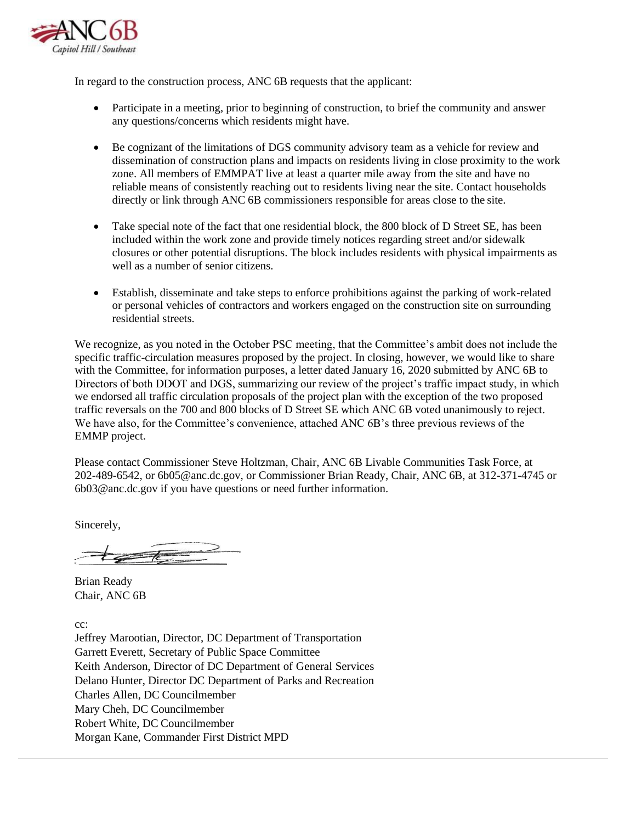

In regard to the construction process, ANC 6B requests that the applicant:

- Participate in a meeting, prior to beginning of construction, to brief the community and answer any questions/concerns which residents might have.
- Be cognizant of the limitations of DGS community advisory team as a vehicle for review and dissemination of construction plans and impacts on residents living in close proximity to the work zone. All members of EMMPAT live at least a quarter mile away from the site and have no reliable means of consistently reaching out to residents living near the site. Contact households directly or link through ANC 6B commissioners responsible for areas close to the site.
- Take special note of the fact that one residential block, the 800 block of D Street SE, has been included within the work zone and provide timely notices regarding street and/or sidewalk closures or other potential disruptions. The block includes residents with physical impairments as well as a number of senior citizens.
- Establish, disseminate and take steps to enforce prohibitions against the parking of work-related or personal vehicles of contractors and workers engaged on the construction site on surrounding residential streets.

We recognize, as you noted in the October PSC meeting, that the Committee's ambit does not include the specific traffic-circulation measures proposed by the project. In closing, however, we would like to share with the Committee, for information purposes, a letter dated January 16, 2020 submitted by ANC 6B to Directors of both DDOT and DGS, summarizing our review of the project's traffic impact study, in which we endorsed all traffic circulation proposals of the project plan with the exception of the two proposed traffic reversals on the 700 and 800 blocks of D Street SE which ANC 6B voted unanimously to reject. We have also, for the Committee's convenience, attached ANC 6B's three previous reviews of the EMMP project.

Please contact Commissioner Steve Holtzman, Chair, ANC 6B Livable Communities Task Force, at 202-489-6542, o[r 6b05@anc.dc.gov, o](mailto:6b05@anc.dc.gov)r Commissioner Brian Ready, Chair, ANC 6B, at 312-371-4745 or [6b03@anc.dc.gov i](mailto:6b03@anc.dc.gov)f you have questions or need further information.

Sincerely,

Brian Ready Chair, ANC 6B

cc:

Jeffrey Marootian, Director, DC Department of Transportation Garrett Everett, Secretary of Public Space Committee Keith Anderson, Director of DC Department of General Services Delano Hunter, Director DC Department of Parks and Recreation Charles Allen, DC Councilmember Mary Cheh, DC Councilmember Robert White, DC Councilmember Morgan Kane, Commander First District MPD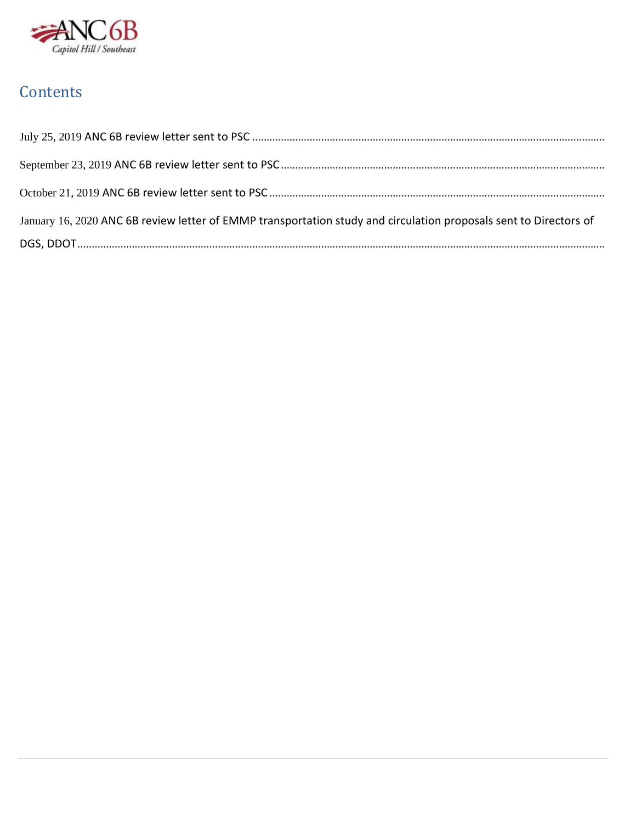

# Contents

| January 16, 2020 ANC 6B review letter of EMMP transportation study and circulation proposals sent to Directors of |
|-------------------------------------------------------------------------------------------------------------------|
|                                                                                                                   |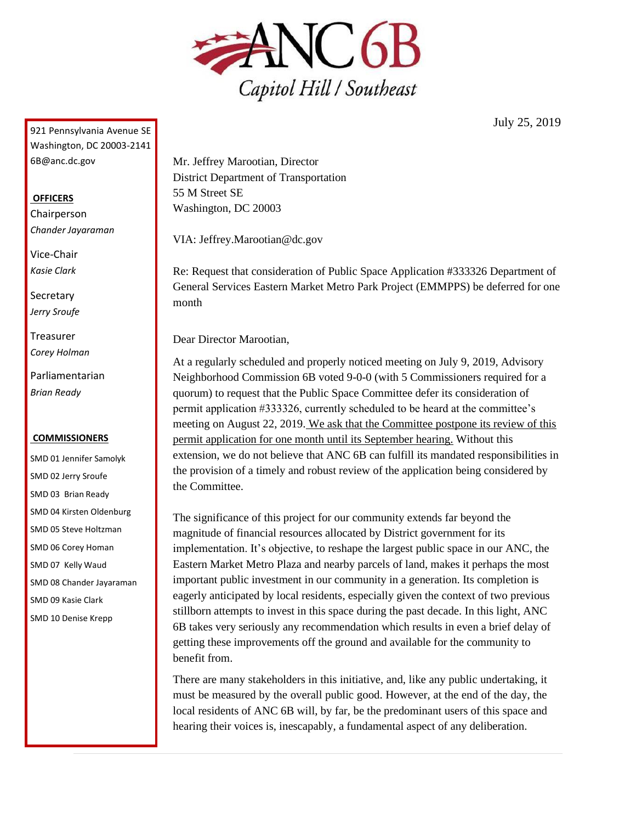

July 25, 2019

<span id="page-4-0"></span>921 Pennsylvania Avenue SE Washington, DC 20003-2141 [6B@anc.dc.gov](mailto:6B@anc.dc.gov)

#### **OFFICERS**

Chairperson *Chander Jayaraman*

Vice-Chair *Kasie Clark*

**Secretary** *Jerry Sroufe*

Treasurer *Corey Holman*

Parliamentarian *Brian Ready*

#### **COMMISSIONERS**

SMD 01 Jennifer Samolyk SMD 02 Jerry Sroufe SMD 03 Brian Ready SMD 04 Kirsten Oldenburg SMD 05 Steve Holtzman SMD 06 Corey Homan SMD 07 Kelly Waud SMD 08 Chander Jayaraman SMD 09 Kasie Clark SMD 10 Denise Krepp

Mr. Jeffrey Marootian, Director District Department of Transportation 55 M Street SE Washington, DC 20003

VIA: [Jeffrey.Marootian@dc.gov](mailto:Jeffrey.Marootian@dc.gov)

Re: Request that consideration of Public Space Application #333326 Department of General Services Eastern Market Metro Park Project (EMMPPS) be deferred for one month

Dear Director Marootian,

At a regularly scheduled and properly noticed meeting on July 9, 2019, Advisory Neighborhood Commission 6B voted 9-0-0 (with 5 Commissioners required for a quorum) to request that the Public Space Committee defer its consideration of permit application #333326, currently scheduled to be heard at the committee's meeting on August 22, 2019. We ask that the Committee postpone its review of this permit application for one month until its September hearing. Without this extension, we do not believe that ANC 6B can fulfill its mandated responsibilities in the provision of a timely and robust review of the application being considered by the Committee.

The significance of this project for our community extends far beyond the magnitude of financial resources allocated by District government for its implementation. It's objective, to reshape the largest public space in our ANC, the Eastern Market Metro Plaza and nearby parcels of land, makes it perhaps the most important public investment in our community in a generation. Its completion is eagerly anticipated by local residents, especially given the context of two previous stillborn attempts to invest in this space during the past decade. In this light, ANC 6B takes very seriously any recommendation which results in even a brief delay of getting these improvements off the ground and available for the community to benefit from.

There are many stakeholders in this initiative, and, like any public undertaking, it must be measured by the overall public good. However, at the end of the day, the local residents of ANC 6B will, by far, be the predominant users of this space and hearing their voices is, inescapably, a fundamental aspect of any deliberation.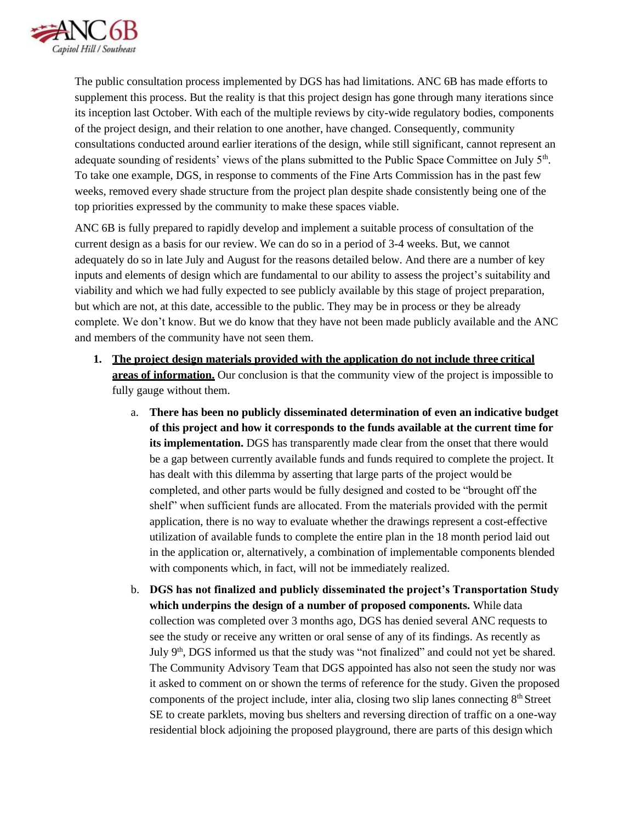

The public consultation process implemented by DGS has had limitations. ANC 6B has made efforts to supplement this process. But the reality is that this project design has gone through many iterations since its inception last October. With each of the multiple reviews by city-wide regulatory bodies, components of the project design, and their relation to one another, have changed. Consequently, community consultations conducted around earlier iterations of the design, while still significant, cannot represent an adequate sounding of residents' views of the plans submitted to the Public Space Committee on July 5<sup>th</sup>. To take one example, DGS, in response to comments of the Fine Arts Commission has in the past few weeks, removed every shade structure from the project plan despite shade consistently being one of the top priorities expressed by the community to make these spaces viable.

ANC 6B is fully prepared to rapidly develop and implement a suitable process of consultation of the current design as a basis for our review. We can do so in a period of 3-4 weeks. But, we cannot adequately do so in late July and August for the reasons detailed below. And there are a number of key inputs and elements of design which are fundamental to our ability to assess the project's suitability and viability and which we had fully expected to see publicly available by this stage of project preparation, but which are not, at this date, accessible to the public. They may be in process or they be already complete. We don't know. But we do know that they have not been made publicly available and the ANC and members of the community have not seen them.

- **1. The project design materials provided with the application do not include three critical areas of information.** Our conclusion is that the community view of the project is impossible to fully gauge without them.
	- a. **There has been no publicly disseminated determination of even an indicative budget of this project and how it corresponds to the funds available at the current time for its implementation.** DGS has transparently made clear from the onset that there would be a gap between currently available funds and funds required to complete the project. It has dealt with this dilemma by asserting that large parts of the project would be completed, and other parts would be fully designed and costed to be "brought off the shelf" when sufficient funds are allocated. From the materials provided with the permit application, there is no way to evaluate whether the drawings represent a cost-effective utilization of available funds to complete the entire plan in the 18 month period laid out in the application or, alternatively, a combination of implementable components blended with components which, in fact, will not be immediately realized.
	- b. **DGS has not finalized and publicly disseminated the project's Transportation Study which underpins the design of a number of proposed components.** While data collection was completed over 3 months ago, DGS has denied several ANC requests to see the study or receive any written or oral sense of any of its findings. As recently as July  $9<sup>th</sup>$ , DGS informed us that the study was "not finalized" and could not yet be shared. The Community Advisory Team that DGS appointed has also not seen the study nor was it asked to comment on or shown the terms of reference for the study. Given the proposed components of the project include, inter alia, closing two slip lanes connecting  $8<sup>th</sup>$  Street SE to create parklets, moving bus shelters and reversing direction of traffic on a one-way residential block adjoining the proposed playground, there are parts of this design which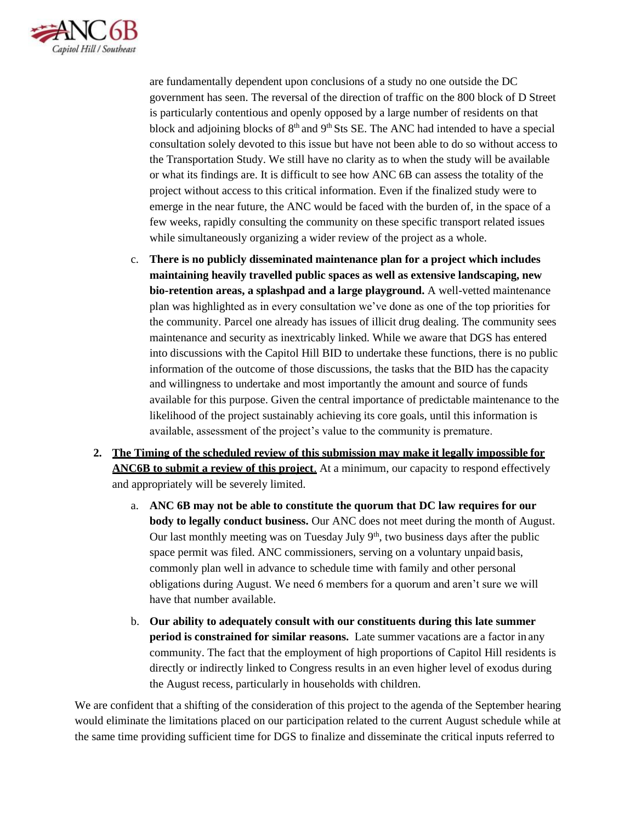

are fundamentally dependent upon conclusions of a study no one outside the DC government has seen. The reversal of the direction of traffic on the 800 block of D Street is particularly contentious and openly opposed by a large number of residents on that block and adjoining blocks of  $8<sup>th</sup>$  and  $9<sup>th</sup>$  Sts SE. The ANC had intended to have a special consultation solely devoted to this issue but have not been able to do so without access to the Transportation Study. We still have no clarity as to when the study will be available or what its findings are. It is difficult to see how ANC 6B can assess the totality of the project without access to this critical information. Even if the finalized study were to emerge in the near future, the ANC would be faced with the burden of, in the space of a few weeks, rapidly consulting the community on these specific transport related issues while simultaneously organizing a wider review of the project as a whole.

- c. **There is no publicly disseminated maintenance plan for a project which includes maintaining heavily travelled public spaces as well as extensive landscaping, new bio-retention areas, a splashpad and a large playground.** A well-vetted maintenance plan was highlighted as in every consultation we've done as one of the top priorities for the community. Parcel one already has issues of illicit drug dealing. The community sees maintenance and security as inextricably linked. While we aware that DGS has entered into discussions with the Capitol Hill BID to undertake these functions, there is no public information of the outcome of those discussions, the tasks that the BID has the capacity and willingness to undertake and most importantly the amount and source of funds available for this purpose. Given the central importance of predictable maintenance to the likelihood of the project sustainably achieving its core goals, until this information is available, assessment of the project's value to the community is premature.
- **2. The Timing of the scheduled review of this submission may make it legally impossible for ANC6B to submit a review of this project**. At a minimum, our capacity to respond effectively and appropriately will be severely limited.
	- a. **ANC 6B may not be able to constitute the quorum that DC law requires for our body to legally conduct business.** Our ANC does not meet during the month of August. Our last monthly meeting was on Tuesday July  $9<sup>th</sup>$ , two business days after the public space permit was filed. ANC commissioners, serving on a voluntary unpaid basis, commonly plan well in advance to schedule time with family and other personal obligations during August. We need 6 members for a quorum and aren't sure we will have that number available.
	- b. **Our ability to adequately consult with our constituents during this late summer period is constrained for similar reasons.** Late summer vacations are a factor in any community. The fact that the employment of high proportions of Capitol Hill residents is directly or indirectly linked to Congress results in an even higher level of exodus during the August recess, particularly in households with children.

We are confident that a shifting of the consideration of this project to the agenda of the September hearing would eliminate the limitations placed on our participation related to the current August schedule while at the same time providing sufficient time for DGS to finalize and disseminate the critical inputs referred to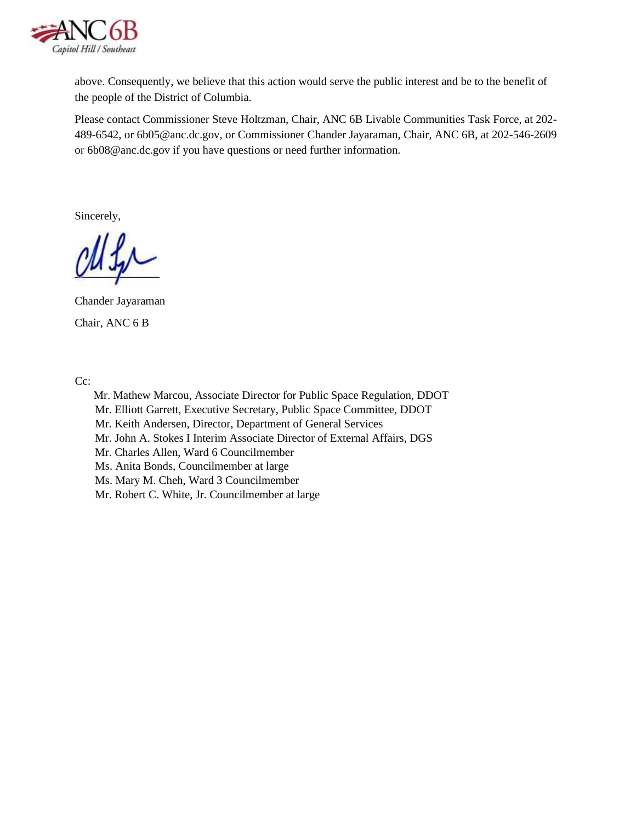

above. Consequently, we believe that this action would serve the public interest and be to the benefit of the people of the District of Columbia.

Please contact Commissioner Steve Holtzman, Chair, ANC 6B Livable Communities Task Force, at 202- 489-6542, or [6b05@anc.dc.gov, o](mailto:6b05@anc.dc.gov)r Commissioner Chander Jayaraman, Chair, ANC 6B, at 202-546-2609 or [6b08@anc.dc.gov i](mailto:6b08@anc.dc.gov)f you have questions or need further information.

Sincerely,

Chander Jayaraman Chair, ANC 6 B

Cc:

Mr. Mathew Marcou, Associate Director for Public Space Regulation, DDOT Mr. Elliott Garrett, Executive Secretary, Public Space Committee, DDOT Mr. Keith Andersen, Director, Department of General Services Mr. John A. Stokes I Interim Associate Director of External Affairs, DGS Mr. Charles Allen, Ward 6 Councilmember Ms. Anita Bonds, Councilmember at large Ms. Mary M. Cheh, Ward 3 Councilmember Mr. Robert C. White, Jr. Councilmember at large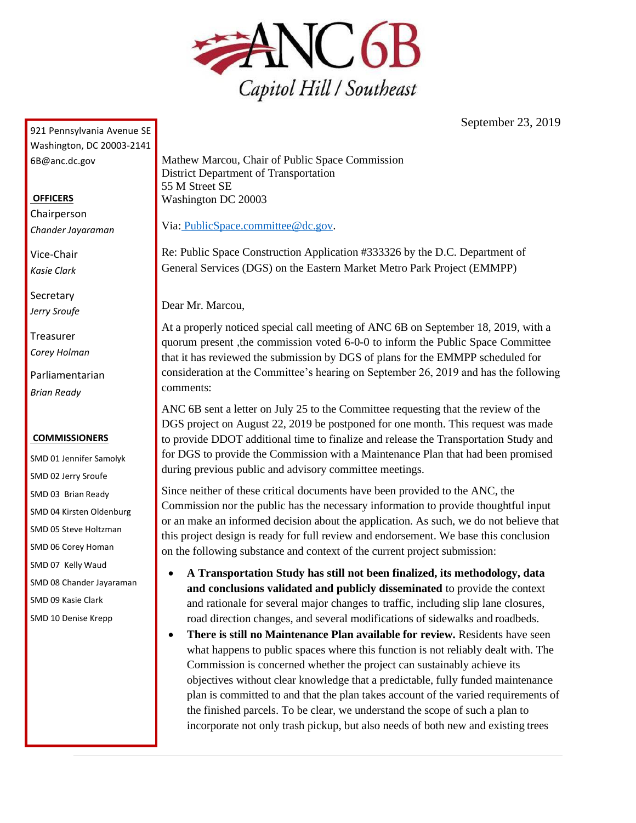

September 23, 2019

<span id="page-8-0"></span>921 Pennsylvania Avenue SE Washington, DC 20003-2141 [6B@anc.dc.gov](mailto:6B@anc.dc.gov)

#### **OFFICERS**

Chairperson *Chander Jayaraman*

Vice-Chair *Kasie Clark*

**Secretary** *Jerry Sroufe*

Treasurer *Corey Holman*

Parliamentarian *Brian Ready*

#### **COMMISSIONERS**

SMD 01 Jennifer Samolyk SMD 02 Jerry Sroufe SMD 03 Brian Ready SMD 04 Kirsten Oldenburg SMD 05 Steve Holtzman SMD 06 Corey Homan SMD 07 Kelly Waud SMD 08 Chander Jayaraman SMD 09 Kasie Clark SMD 10 Denise Krepp

Mathew Marcou, Chair of Public Space Commission District Department of Transportation 55 M Street SE Washington DC 20003

Via: [PublicSpace.committee@dc.gov.](mailto:PublicSpace.committee@dc.gov)

Re: Public Space Construction Application #333326 by the D.C. Department of General Services (DGS) on the Eastern Market Metro Park Project (EMMPP)

Dear Mr. Marcou,

At a properly noticed special call meeting of ANC 6B on September 18, 2019, with a quorum present ,the commission voted 6-0-0 to inform the Public Space Committee that it has reviewed the submission by DGS of plans for the EMMPP scheduled for consideration at the Committee's hearing on September 26, 2019 and has the following comments:

ANC 6B sent a letter on July 25 to the Committee requesting that the review of the DGS project on August 22, 2019 be postponed for one month. This request was made to provide DDOT additional time to finalize and release the Transportation Study and for DGS to provide the Commission with a Maintenance Plan that had been promised during previous public and advisory committee meetings.

Since neither of these critical documents have been provided to the ANC, the Commission nor the public has the necessary information to provide thoughtful input or an make an informed decision about the application. As such, we do not believe that this project design is ready for full review and endorsement. We base this conclusion on the following substance and context of the current project submission:

- **A Transportation Study has still not been finalized, its methodology, data and conclusions validated and publicly disseminated** to provide the context and rationale for several major changes to traffic, including slip lane closures, road direction changes, and several modifications of sidewalks and roadbeds.
- **There is still no Maintenance Plan available for review.** Residents have seen what happens to public spaces where this function is not reliably dealt with. The Commission is concerned whether the project can sustainably achieve its objectives without clear knowledge that a predictable, fully funded maintenance plan is committed to and that the plan takes account of the varied requirements of the finished parcels. To be clear, we understand the scope of such a plan to incorporate not only trash pickup, but also needs of both new and existing trees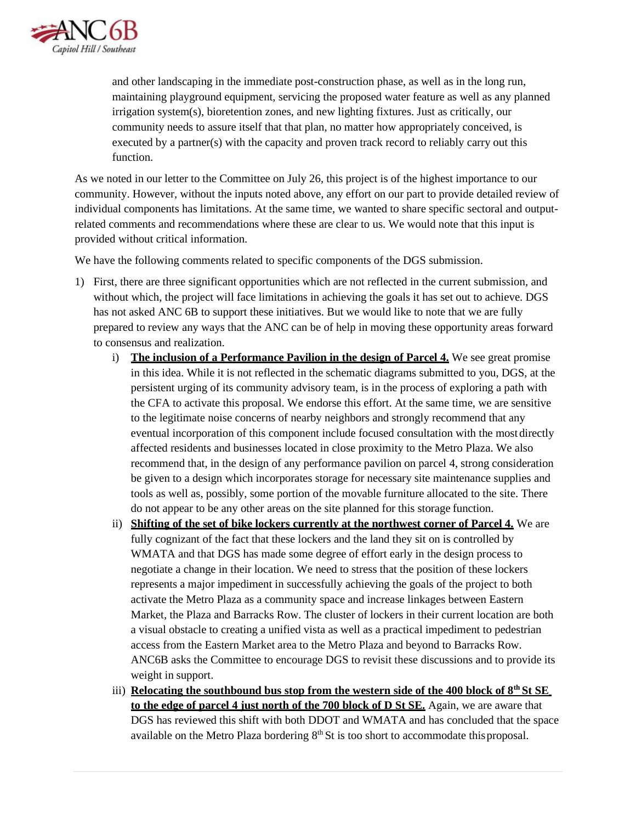

and other landscaping in the immediate post-construction phase, as well as in the long run, maintaining playground equipment, servicing the proposed water feature as well as any planned irrigation system(s), bioretention zones, and new lighting fixtures. Just as critically, our community needs to assure itself that that plan, no matter how appropriately conceived, is executed by a partner(s) with the capacity and proven track record to reliably carry out this function.

As we noted in our letter to the Committee on July 26, this project is of the highest importance to our community. However, without the inputs noted above, any effort on our part to provide detailed review of individual components has limitations. At the same time, we wanted to share specific sectoral and outputrelated comments and recommendations where these are clear to us. We would note that this input is provided without critical information.

We have the following comments related to specific components of the DGS submission.

- 1) First, there are three significant opportunities which are not reflected in the current submission, and without which, the project will face limitations in achieving the goals it has set out to achieve. DGS has not asked ANC 6B to support these initiatives. But we would like to note that we are fully prepared to review any ways that the ANC can be of help in moving these opportunity areas forward to consensus and realization.
	- i) **The inclusion of a Performance Pavilion in the design of Parcel 4.** We see great promise in this idea. While it is not reflected in the schematic diagrams submitted to you, DGS, at the persistent urging of its community advisory team, is in the process of exploring a path with the CFA to activate this proposal. We endorse this effort. At the same time, we are sensitive to the legitimate noise concerns of nearby neighbors and strongly recommend that any eventual incorporation of this component include focused consultation with the most directly affected residents and businesses located in close proximity to the Metro Plaza. We also recommend that, in the design of any performance pavilion on parcel 4, strong consideration be given to a design which incorporates storage for necessary site maintenance supplies and tools as well as, possibly, some portion of the movable furniture allocated to the site. There do not appear to be any other areas on the site planned for this storage function.
	- ii) **Shifting of the set of bike lockers currently at the northwest corner of Parcel 4.** We are fully cognizant of the fact that these lockers and the land they sit on is controlled by WMATA and that DGS has made some degree of effort early in the design process to negotiate a change in their location. We need to stress that the position of these lockers represents a major impediment in successfully achieving the goals of the project to both activate the Metro Plaza as a community space and increase linkages between Eastern Market, the Plaza and Barracks Row. The cluster of lockers in their current location are both a visual obstacle to creating a unified vista as well as a practical impediment to pedestrian access from the Eastern Market area to the Metro Plaza and beyond to Barracks Row. ANC6B asks the Committee to encourage DGS to revisit these discussions and to provide its weight in support.
	- iii) **Relocating the southbound bus stop from the western side of the 400 block of 8<sup>th</sup> St SE to the edge of parcel 4 just north of the 700 block of D St SE.** Again, we are aware that DGS has reviewed this shift with both DDOT and WMATA and has concluded that the space available on the Metro Plaza bordering  $8<sup>th</sup>$  St is too short to accommodate this proposal.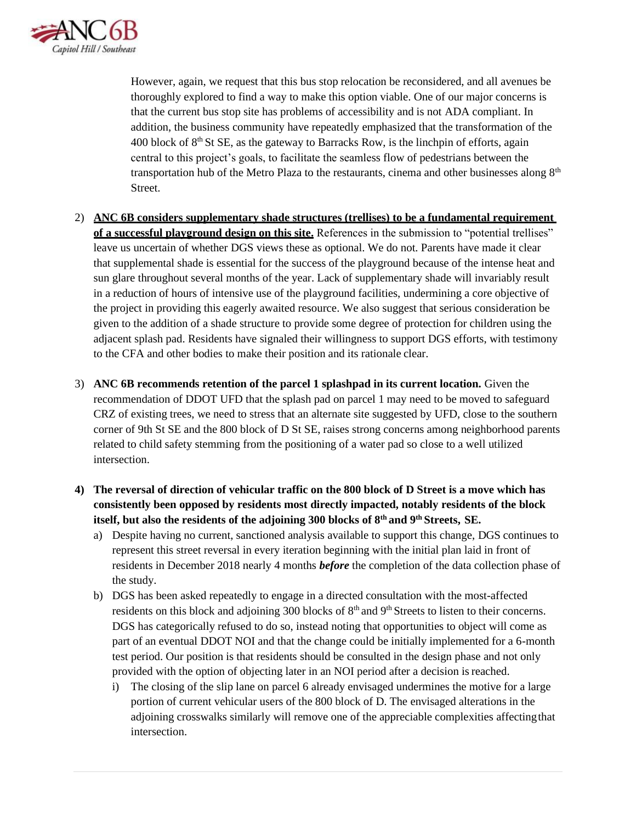

However, again, we request that this bus stop relocation be reconsidered, and all avenues be thoroughly explored to find a way to make this option viable. One of our major concerns is that the current bus stop site has problems of accessibility and is not ADA compliant. In addition, the business community have repeatedly emphasized that the transformation of the 400 block of  $8<sup>th</sup>$  St SE, as the gateway to Barracks Row, is the linchpin of efforts, again central to this project's goals, to facilitate the seamless flow of pedestrians between the transportation hub of the Metro Plaza to the restaurants, cinema and other businesses along  $8<sup>th</sup>$ Street.

- 2) **ANC 6B considers supplementary shade structures (trellises) to be a fundamental requirement of a successful playground design on this site.** References in the submission to "potential trellises" leave us uncertain of whether DGS views these as optional. We do not. Parents have made it clear that supplemental shade is essential for the success of the playground because of the intense heat and sun glare throughout several months of the year. Lack of supplementary shade will invariably result in a reduction of hours of intensive use of the playground facilities, undermining a core objective of the project in providing this eagerly awaited resource. We also suggest that serious consideration be given to the addition of a shade structure to provide some degree of protection for children using the adjacent splash pad. Residents have signaled their willingness to support DGS efforts, with testimony to the CFA and other bodies to make their position and its rationale clear.
- 3) **ANC 6B recommends retention of the parcel 1 splashpad in its current location.** Given the recommendation of DDOT UFD that the splash pad on parcel 1 may need to be moved to safeguard CRZ of existing trees, we need to stress that an alternate site suggested by UFD, close to the southern corner of 9th St SE and the 800 block of D St SE, raises strong concerns among neighborhood parents related to child safety stemming from the positioning of a water pad so close to a well utilized intersection.
- **4) The reversal of direction of vehicular traffic on the 800 block of D Street is a move which has consistently been opposed by residents most directly impacted, notably residents of the block itself, but also the residents of the adjoining 300 blocks of 8th and 9th Streets, SE.**
	- a) Despite having no current, sanctioned analysis available to support this change, DGS continues to represent this street reversal in every iteration beginning with the initial plan laid in front of residents in December 2018 nearly 4 months *before* the completion of the data collection phase of the study.
	- b) DGS has been asked repeatedly to engage in a directed consultation with the most-affected residents on this block and adjoining 300 blocks of  $8<sup>th</sup>$  and  $9<sup>th</sup>$  Streets to listen to their concerns. DGS has categorically refused to do so, instead noting that opportunities to object will come as part of an eventual DDOT NOI and that the change could be initially implemented for a 6-month test period. Our position is that residents should be consulted in the design phase and not only provided with the option of objecting later in an NOI period after a decision isreached.
		- i) The closing of the slip lane on parcel 6 already envisaged undermines the motive for a large portion of current vehicular users of the 800 block of D. The envisaged alterations in the adjoining crosswalks similarly will remove one of the appreciable complexities affectingthat intersection.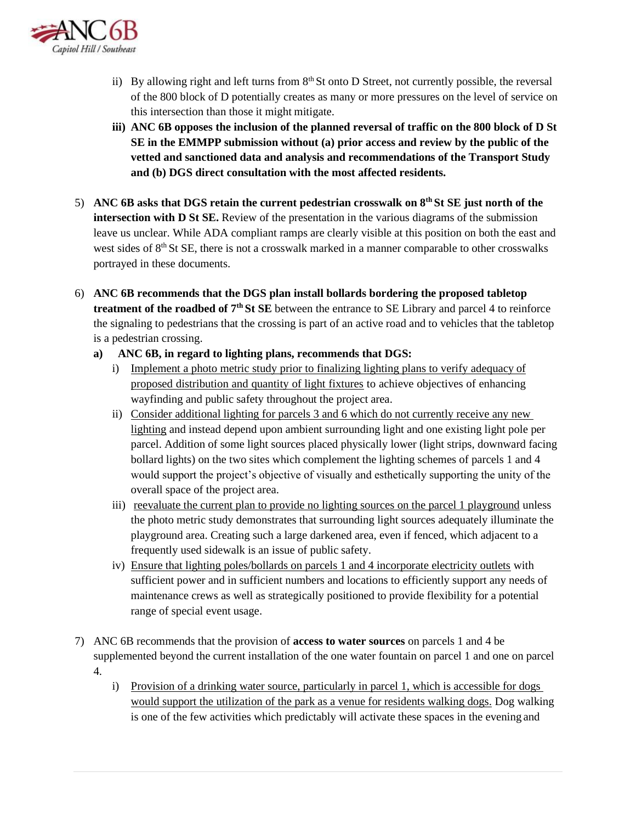

- ii) By allowing right and left turns from  $8<sup>th</sup>$  St onto D Street, not currently possible, the reversal of the 800 block of D potentially creates as many or more pressures on the level of service on this intersection than those it might mitigate.
- **iii) ANC 6B opposes the inclusion of the planned reversal of traffic on the 800 block of D St SE in the EMMPP submission without (a) prior access and review by the public of the vetted and sanctioned data and analysis and recommendations of the Transport Study and (b) DGS direct consultation with the most affected residents.**
- 5) **ANC 6B asks that DGS retain the current pedestrian crosswalk on 8th St SE just north of the intersection with D St SE.** Review of the presentation in the various diagrams of the submission leave us unclear. While ADA compliant ramps are clearly visible at this position on both the east and west sides of 8<sup>th</sup> St SE, there is not a crosswalk marked in a manner comparable to other crosswalks portrayed in these documents.
- 6) **ANC 6B recommends that the DGS plan install bollards bordering the proposed tabletop treatment of the roadbed of 7th St SE** between the entrance to SE Library and parcel 4 to reinforce the signaling to pedestrians that the crossing is part of an active road and to vehicles that the tabletop is a pedestrian crossing.
	- **a) ANC 6B, in regard to lighting plans, recommends that DGS:**
		- i) Implement a photo metric study prior to finalizing lighting plans to verify adequacy of proposed distribution and quantity of light fixtures to achieve objectives of enhancing wayfinding and public safety throughout the project area.
		- ii) Consider additional lighting for parcels 3 and 6 which do not currently receive any new lighting and instead depend upon ambient surrounding light and one existing light pole per parcel. Addition of some light sources placed physically lower (light strips, downward facing bollard lights) on the two sites which complement the lighting schemes of parcels 1 and 4 would support the project's objective of visually and esthetically supporting the unity of the overall space of the project area.
		- iii) reevaluate the current plan to provide no lighting sources on the parcel 1 playground unless the photo metric study demonstrates that surrounding light sources adequately illuminate the playground area. Creating such a large darkened area, even if fenced, which adjacent to a frequently used sidewalk is an issue of public safety.
		- iv) Ensure that lighting poles/bollards on parcels 1 and 4 incorporate electricity outlets with sufficient power and in sufficient numbers and locations to efficiently support any needs of maintenance crews as well as strategically positioned to provide flexibility for a potential range of special event usage.
- 7) ANC 6B recommends that the provision of **access to water sources** on parcels 1 and 4 be supplemented beyond the current installation of the one water fountain on parcel 1 and one on parcel 4.
	- i) Provision of a drinking water source, particularly in parcel 1, which is accessible for dogs would support the utilization of the park as a venue for residents walking dogs. Dog walking is one of the few activities which predictably will activate these spaces in the evening and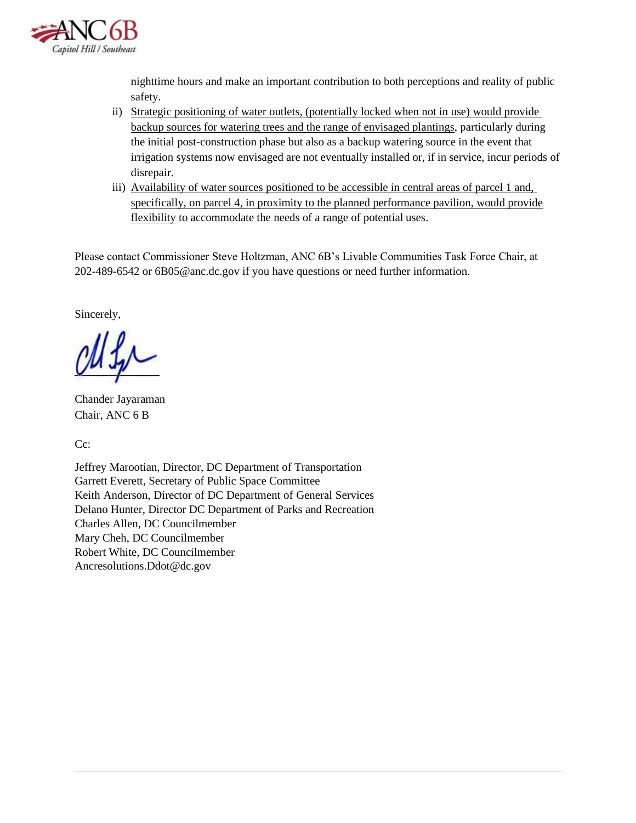

nighttime hours and make an important contribution to both perceptions and reality of public safety.

- ii) Strategic positioning of water outlets, (potentially locked when not in use) would provide backup sources for watering trees and the range of envisaged plantings, particularly during the initial post-construction phase but also as a backup watering source in the event that irrigation systems now envisaged are not eventually installed or, if in service, incur periods of disrepair.
- iii) Availability of water sources positioned to be accessible in central areas of parcel 1 and, specifically, on parcel 4, in proximity to the planned performance pavilion, would provide flexibility to accommodate the needs of a range of potential uses.

Please contact Commissioner Steve Holtzman, ANC 6B's Livable Communities Task Force Chair, at 202-489-6542 or [6B05@anc.dc.gov i](mailto:6B05@anc.dc.gov)f you have questions or need further information.

Sincerely,

Chander Jayaraman Chair, ANC 6 B

Cc:

Jeffrey Marootian, Director, DC Department of Transportation Garrett Everett, Secretary of Public Space Committee Keith Anderson, Director of DC Department of General Services Delano Hunter, Director DC Department of Parks and Recreation Charles Allen, DC Councilmember Mary Cheh, DC Councilmember Robert White, DC Councilmember [Ancresolutions.Ddot@dc.gov](mailto:Ancresolutions.Ddot@dc.gov)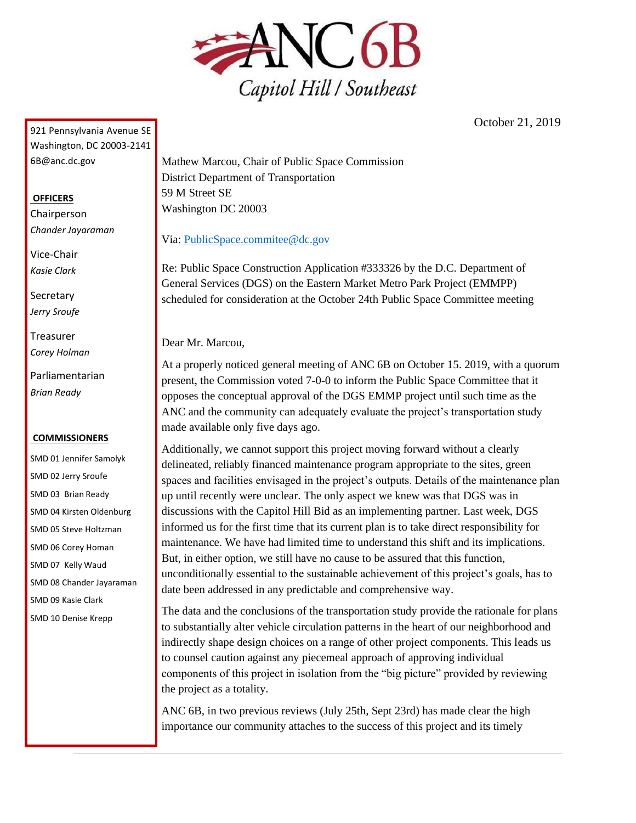

October 21, 2019

<span id="page-13-0"></span>921 Pennsylvania Avenue SE Washington, DC 20003-2141 [6B@anc.dc.gov](mailto:6B@anc.dc.gov)

### **OFFICERS**

Chairperson *Chander Jayaraman*

Vice-Chair *Kasie Clark*

**Secretary** *Jerry Sroufe*

Treasurer *Corey Holman*

Parliamentarian *Brian Ready*

#### **COMMISSIONERS**

SMD 01 Jennifer Samolyk SMD 02 Jerry Sroufe SMD 03 Brian Ready SMD 04 Kirsten Oldenburg SMD 05 Steve Holtzman SMD 06 Corey Homan SMD 07 Kelly Waud SMD 08 Chander Jayaraman SMD 09 Kasie Clark SMD 10 Denise Krepp

Mathew Marcou, Chair of Public Space Commission District Department of Transportation 59 M Street SE Washington DC 20003

Via: [PublicSpace.commitee@dc.gov](mailto:PublicSpace.commitee@dc.gov)

Re: Public Space Construction Application #333326 by the D.C. Department of General Services (DGS) on the Eastern Market Metro Park Project (EMMPP) scheduled for consideration at the October 24th Public Space Committee meeting

Dear Mr. Marcou,

At a properly noticed general meeting of ANC 6B on October 15. 2019, with a quorum present, the Commission voted 7-0-0 to inform the Public Space Committee that it opposes the conceptual approval of the DGS EMMP project until such time as the ANC and the community can adequately evaluate the project's transportation study made available only five days ago.

Additionally, we cannot support this project moving forward without a clearly delineated, reliably financed maintenance program appropriate to the sites, green spaces and facilities envisaged in the project's outputs. Details of the maintenance plan up until recently were unclear. The only aspect we knew was that DGS was in discussions with the Capitol Hill Bid as an implementing partner. Last week, DGS informed us for the first time that its current plan is to take direct responsibility for maintenance. We have had limited time to understand this shift and its implications. But, in either option, we still have no cause to be assured that this function, unconditionally essential to the sustainable achievement of this project's goals, has to date been addressed in any predictable and comprehensive way.

The data and the conclusions of the transportation study provide the rationale for plans to substantially alter vehicle circulation patterns in the heart of our neighborhood and indirectly shape design choices on a range of other project components. This leads us to counsel caution against any piecemeal approach of approving individual components of this project in isolation from the "big picture" provided by reviewing the project as a totality.

ANC 6B, in two previous reviews (July 25th, Sept 23rd) has made clear the high importance our community attaches to the success of this project and its timely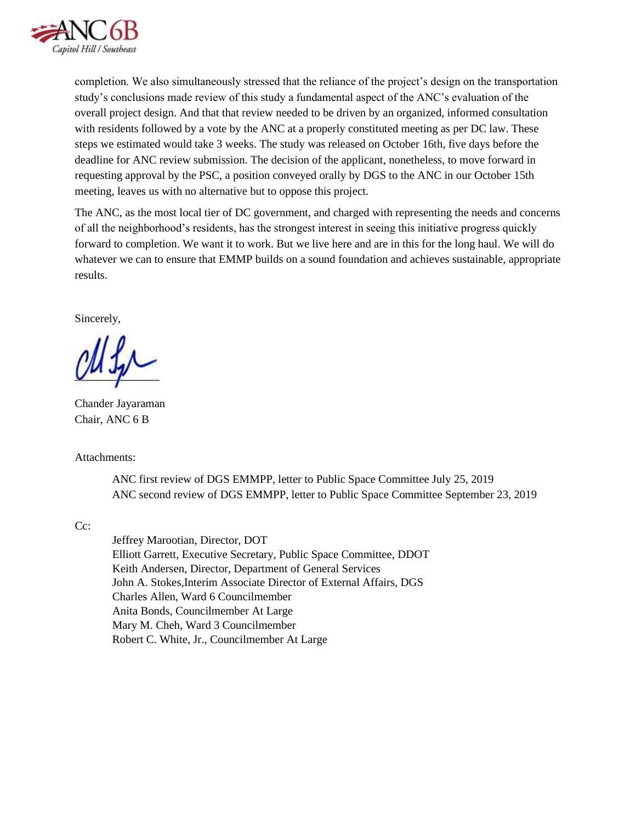

completion. We also simultaneously stressed that the reliance of the project's design on the transportation study's conclusions made review of this study a fundamental aspect of the ANC's evaluation of the overall project design. And that that review needed to be driven by an organized, informed consultation with residents followed by a vote by the ANC at a properly constituted meeting as per DC law. These steps we estimated would take 3 weeks. The study was released on October 16th, five days before the deadline for ANC review submission. The decision of the applicant, nonetheless, to move forward in requesting approval by the PSC, a position conveyed orally by DGS to the ANC in our October 15th meeting, leaves us with no alternative but to oppose this project.

The ANC, as the most local tier of DC government, and charged with representing the needs and concerns of all the neighborhood's residents, has the strongest interest in seeing this initiative progress quickly forward to completion. We want it to work. But we live here and are in this for the long haul. We will do whatever we can to ensure that EMMP builds on a sound foundation and achieves sustainable, appropriate results.

Sincerely,

Chander Jayaraman Chair, ANC 6 B

Attachments:

ANC first review of DGS EMMPP, letter to Public Space Committee July 25, 2019 ANC second review of DGS EMMPP, letter to Public Space Committee September 23, 2019

Cc:

Jeffrey Marootian, Director, DOT Elliott Garrett, Executive Secretary, Public Space Committee, DDOT Keith Andersen, Director, Department of General Services John A. Stokes,Interim Associate Director of External Affairs, DGS Charles Allen, Ward 6 Councilmember Anita Bonds, Councilmember At Large Mary M. Cheh, Ward 3 Councilmember Robert C. White, Jr., Councilmember At Large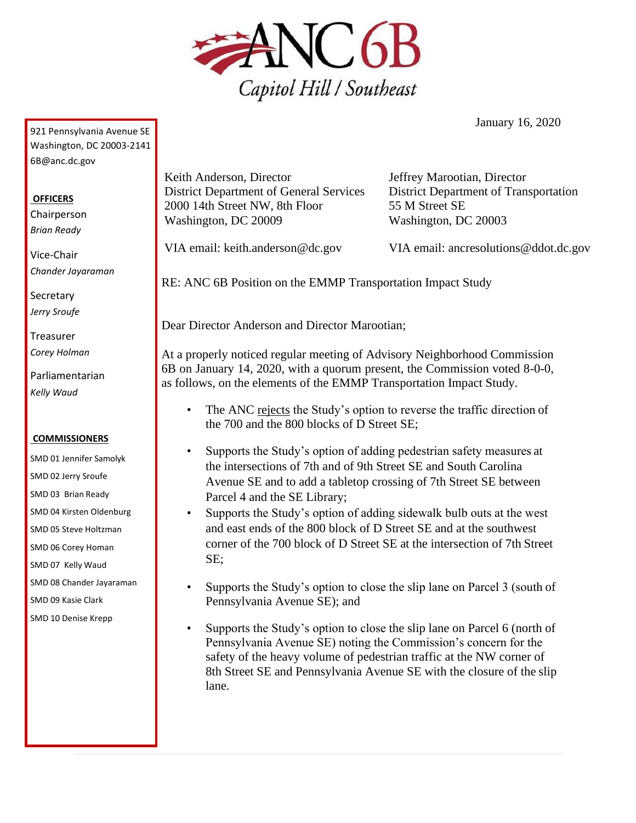

January 16, 2020

<span id="page-15-0"></span>921 Pennsylvania Avenue SE Washington, DC 20003-2141 [6B@anc.dc.gov](mailto:6B@anc.dc.gov)

## **OFFICERS**

Chairperson *Brian Ready*

Vice-Chair *Chander Jayaraman*

**Secretary** *Jerry Sroufe*

Treasurer *Corey Holman*

Parliamentarian *Kelly Waud*

#### **COMMISSIONERS**

SMD 01 Jennifer Samolyk SMD 02 Jerry Sroufe SMD 03 Brian Ready SMD 04 Kirsten Oldenburg SMD 05 Steve Holtzman SMD 06 Corey Homan SMD 07 Kelly Waud SMD 08 Chander Jayaraman SMD 09 Kasie Clark SMD 10 Denise Krepp

Keith Anderson, Director District Department of General Services 2000 14th Street NW, 8th Floor Washington, DC 20009

Jeffrey Marootian, Director District Department of Transportation 55 M Street SE Washington, DC 20003

VIA email: [keith.anderson@dc.gov](mailto:keith.anderson@dc.gov)

VIA email: [ancresolutions@ddot.dc.gov](mailto:ancresolutions@ddot.dc.gov)

RE: ANC 6B Position on the EMMP Transportation Impact Study

Dear Director Anderson and Director Marootian;

At a properly noticed regular meeting of Advisory Neighborhood Commission 6B on January 14, 2020, with a quorum present, the Commission voted 8-0-0, as follows, on the elements of the EMMP Transportation Impact Study.

- The ANC rejects the Study's option to reverse the traffic direction of the 700 and the 800 blocks of D Street SE;
- Supports the Study's option of adding pedestrian safety measures at the intersections of 7th and of 9th Street SE and South Carolina Avenue SE and to add a tabletop crossing of 7th Street SE between Parcel 4 and the SE Library;
- Supports the Study's option of adding sidewalk bulb outs at the west and east ends of the 800 block of D Street SE and at the southwest corner of the 700 block of D Street SE at the intersection of 7th Street SE;
- Supports the Study's option to close the slip lane on Parcel 3 (south of Pennsylvania Avenue SE); and
- Supports the Study's option to close the slip lane on Parcel 6 (north of Pennsylvania Avenue SE) noting the Commission's concern for the safety of the heavy volume of pedestrian traffic at the NW corner of 8th Street SE and Pennsylvania Avenue SE with the closure of the slip lane.